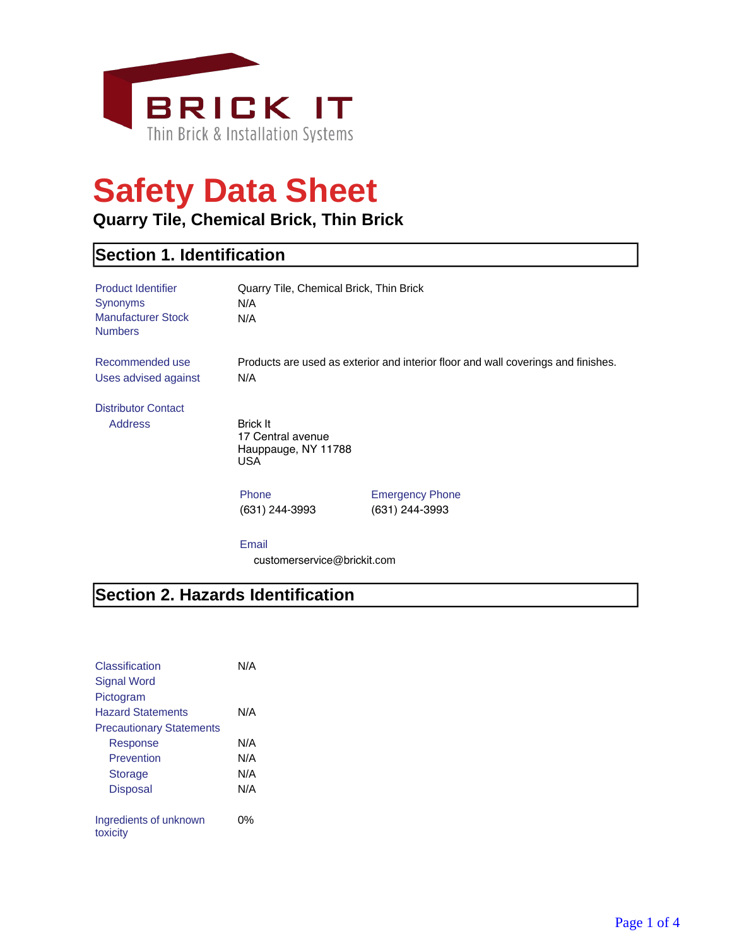

# **Safety Data Sheet**

#### **Quarry Tile, Chemical Brick, Thin Brick**

#### **Section 1. Identification**

| <b>Product Identifier</b><br><b>Synonyms</b><br><b>Manufacturer Stock</b><br><b>Numbers</b> | Quarry Tile, Chemical Brick, Thin Brick<br>N/A<br>N/A               |                                                                                   |
|---------------------------------------------------------------------------------------------|---------------------------------------------------------------------|-----------------------------------------------------------------------------------|
| Recommended use<br>Uses advised against                                                     | N/A                                                                 | Products are used as exterior and interior floor and wall coverings and finishes. |
| <b>Distributor Contact</b><br><b>Address</b>                                                | <b>Brick It</b><br>17 Central avenue<br>Hauppauge, NY 11788<br>USA. |                                                                                   |
|                                                                                             | Phone<br>(631) 244-3993                                             | <b>Emergency Phone</b><br>(631) 244-3993                                          |
|                                                                                             | Email<br>customerservice@brickit.com                                |                                                                                   |

## **Section 2. Hazards Identification**

| Classification<br>Signal Word      | N/A |
|------------------------------------|-----|
|                                    |     |
| Pictogram                          |     |
| <b>Hazard Statements</b>           | N/A |
| <b>Precautionary Statements</b>    |     |
| Response                           | N/A |
| Prevention                         | N/A |
| <b>Storage</b>                     | N/A |
| <b>Disposal</b>                    | N/A |
|                                    |     |
| Ingredients of unknown<br>toxicity | በ%  |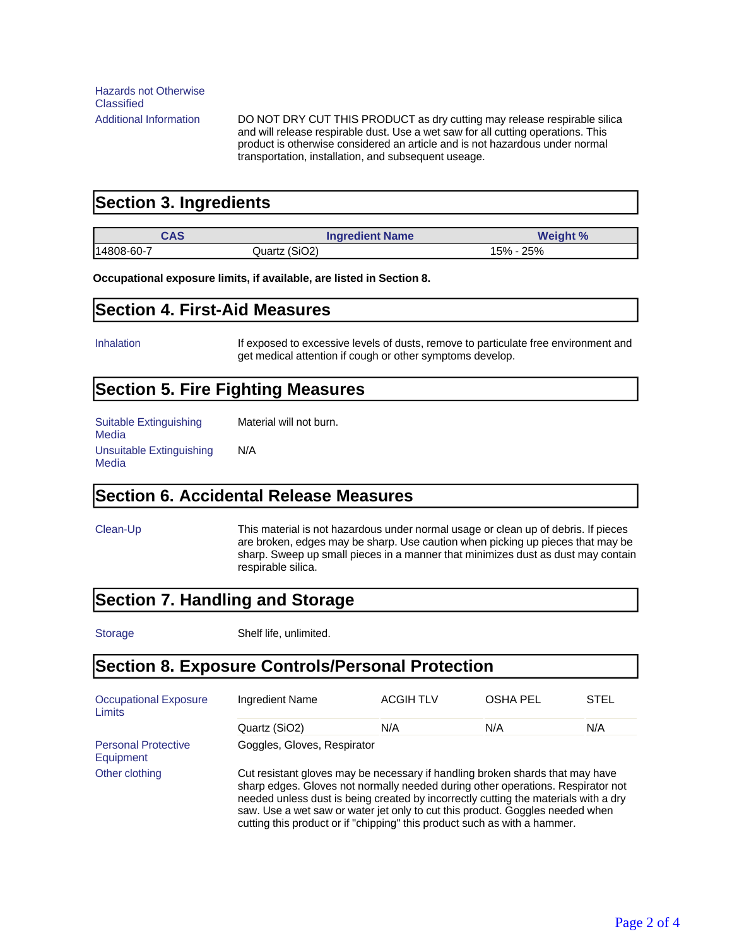Additional Information DO NOT DRY CUT THIS PRODUCT as dry cutting may release respirable silica and will release respirable dust. Use a wet saw for all cutting operations. This product is otherwise considered an article and is not hazardous under normal transportation, installation, and subsequent useage.

#### **Section 3. Ingredients**

| CAS        | <b>Ingredient Name</b> | <b>Weight %</b> |
|------------|------------------------|-----------------|
| 14808-60-7 | Quartz (SiO2)          | 15% - 25%       |

#### **Occupational exposure limits, if available, are listed in Section 8.**

#### **Section 4. First-Aid Measures**

Inhalation **If exposed to excessive levels of dusts, remove to particulate free environment and** get medical attention if cough or other symptoms develop.

#### **Section 5. Fire Fighting Measures**

Suitable Extinguishing Media Material will not burn. Unsuitable Extinguishing **Media** N/A

#### **Section 6. Accidental Release Measures**

Clean-Up This material is not hazardous under normal usage or clean up of debris. If pieces are broken, edges may be sharp. Use caution when picking up pieces that may be sharp. Sweep up small pieces in a manner that minimizes dust as dust may contain respirable silica.

#### **Section 7. Handling and Storage**

Storage Shelf life, unlimited.

#### **Section 8. Exposure Controls/Personal Protection**

| <b>Occupational Exposure</b><br>Limits  | Ingredient Name                                                                                                                                                                                                                                                                                                                                                                                                       | <b>ACGIH TLV</b> | <b>OSHA PEL</b> | STEL |
|-----------------------------------------|-----------------------------------------------------------------------------------------------------------------------------------------------------------------------------------------------------------------------------------------------------------------------------------------------------------------------------------------------------------------------------------------------------------------------|------------------|-----------------|------|
|                                         | Quartz (SiO2)                                                                                                                                                                                                                                                                                                                                                                                                         | N/A              | N/A             | N/A  |
| <b>Personal Protective</b><br>Equipment | Goggles, Gloves, Respirator                                                                                                                                                                                                                                                                                                                                                                                           |                  |                 |      |
| Other clothing                          | Cut resistant gloves may be necessary if handling broken shards that may have<br>sharp edges. Gloves not normally needed during other operations. Respirator not<br>needed unless dust is being created by incorrectly cutting the materials with a dry<br>saw. Use a wet saw or water jet only to cut this product. Goggles needed when<br>cutting this product or if "chipping" this product such as with a hammer. |                  |                 |      |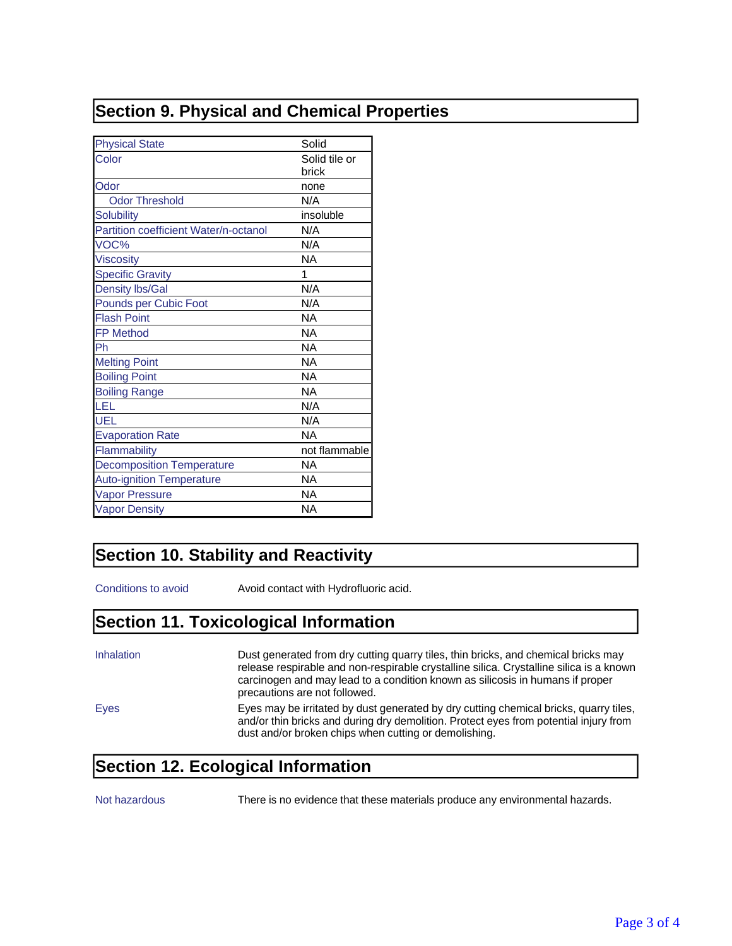#### **Section 9. Physical and Chemical Properties**

| <b>Physical State</b>                 | Solid                  |
|---------------------------------------|------------------------|
| Color                                 | Solid tile or<br>brick |
| Odor                                  | none                   |
| <b>Odor Threshold</b>                 | N/A                    |
| <b>Solubility</b>                     | insoluble              |
| Partition coefficient Water/n-octanol | N/A                    |
| VOC%                                  | N/A                    |
| <b>Viscosity</b>                      | NA.                    |
| <b>Specific Gravity</b>               | 1                      |
| <b>Density lbs/Gal</b>                | N/A                    |
| Pounds per Cubic Foot                 | N/A                    |
| <b>Flash Point</b>                    | NA                     |
| <b>FP Method</b>                      | NA                     |
| Ph                                    | NA                     |
| <b>Melting Point</b>                  | <b>NA</b>              |
| <b>Boiling Point</b>                  | NA                     |
| <b>Boiling Range</b>                  | <b>NA</b>              |
| LEL                                   | N/A                    |
| UEL                                   | N/A                    |
| <b>Evaporation Rate</b>               | <b>NA</b>              |
| Flammability                          | not flammable          |
| <b>Decomposition Temperature</b>      | NA                     |
| <b>Auto-ignition Temperature</b>      | NA                     |
| <b>Vapor Pressure</b>                 | NA                     |
| <b>Vapor Density</b>                  | NA                     |

#### **Section 10. Stability and Reactivity**

Conditions to avoid **Avoid contact with Hydrofluoric acid.** 

#### **Section 11. Toxicological Information**

| Inhalation | Dust generated from dry cutting quarry tiles, thin bricks, and chemical bricks may<br>release respirable and non-respirable crystalline silica. Crystalline silica is a known<br>carcinogen and may lead to a condition known as silicosis in humans if proper<br>precautions are not followed. |
|------------|-------------------------------------------------------------------------------------------------------------------------------------------------------------------------------------------------------------------------------------------------------------------------------------------------|
| Eyes       | Eyes may be irritated by dust generated by dry cutting chemical bricks, quarry tiles,<br>and/or thin bricks and during dry demolition. Protect eyes from potential injury from<br>dust and/or broken chips when cutting or demolishing.                                                         |

### **Section 12. Ecological Information**

Not hazardous There is no evidence that these materials produce any environmental hazards.